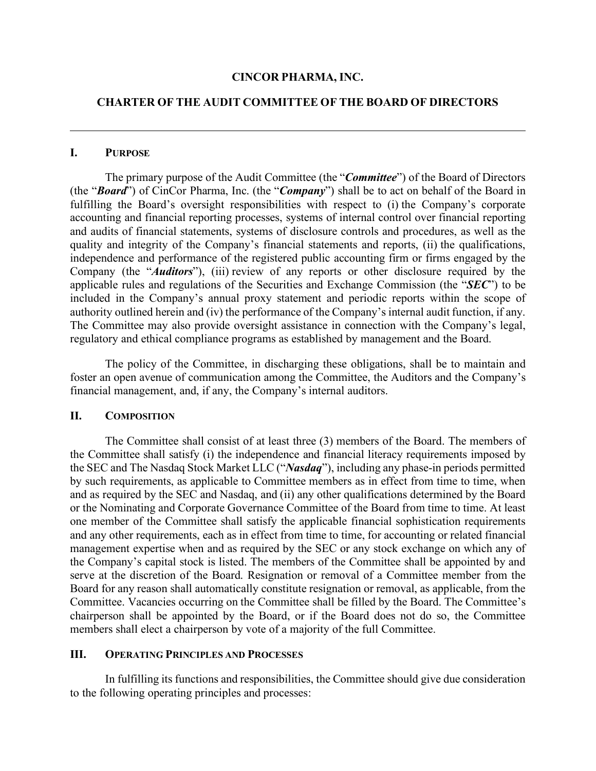#### **CINCOR PHARMA, INC.**

### **CHARTER OF THE AUDIT COMMITTEE OF THE BOARD OF DIRECTORS**

#### **I. PURPOSE**

The primary purpose of the Audit Committee (the "*Committee*") of the Board of Directors (the "*Board*") of CinCor Pharma, Inc. (the "*Company*") shall be to act on behalf of the Board in fulfilling the Board's oversight responsibilities with respect to (i) the Company's corporate accounting and financial reporting processes, systems of internal control over financial reporting and audits of financial statements, systems of disclosure controls and procedures, as well as the quality and integrity of the Company's financial statements and reports, (ii) the qualifications, independence and performance of the registered public accounting firm or firms engaged by the Company (the "*Auditors*"), (iii) review of any reports or other disclosure required by the applicable rules and regulations of the Securities and Exchange Commission (the "*SEC*") to be included in the Company's annual proxy statement and periodic reports within the scope of authority outlined herein and (iv) the performance of the Company's internal audit function, if any. The Committee may also provide oversight assistance in connection with the Company's legal, regulatory and ethical compliance programs as established by management and the Board.

The policy of the Committee, in discharging these obligations, shall be to maintain and foster an open avenue of communication among the Committee, the Auditors and the Company's financial management, and, if any, the Company's internal auditors.

### **II. COMPOSITION**

The Committee shall consist of at least three (3) members of the Board. The members of the Committee shall satisfy (i) the independence and financial literacy requirements imposed by the SEC and The Nasdaq Stock Market LLC ("*Nasdaq*"), including any phase-in periods permitted by such requirements, as applicable to Committee members as in effect from time to time, when and as required by the SEC and Nasdaq, and (ii) any other qualifications determined by the Board or the Nominating and Corporate Governance Committee of the Board from time to time. At least one member of the Committee shall satisfy the applicable financial sophistication requirements and any other requirements, each as in effect from time to time, for accounting or related financial management expertise when and as required by the SEC or any stock exchange on which any of the Company's capital stock is listed. The members of the Committee shall be appointed by and serve at the discretion of the Board. Resignation or removal of a Committee member from the Board for any reason shall automatically constitute resignation or removal, as applicable, from the Committee. Vacancies occurring on the Committee shall be filled by the Board. The Committee's chairperson shall be appointed by the Board, or if the Board does not do so, the Committee members shall elect a chairperson by vote of a majority of the full Committee.

### **III. OPERATING PRINCIPLES AND PROCESSES**

In fulfilling its functions and responsibilities, the Committee should give due consideration to the following operating principles and processes: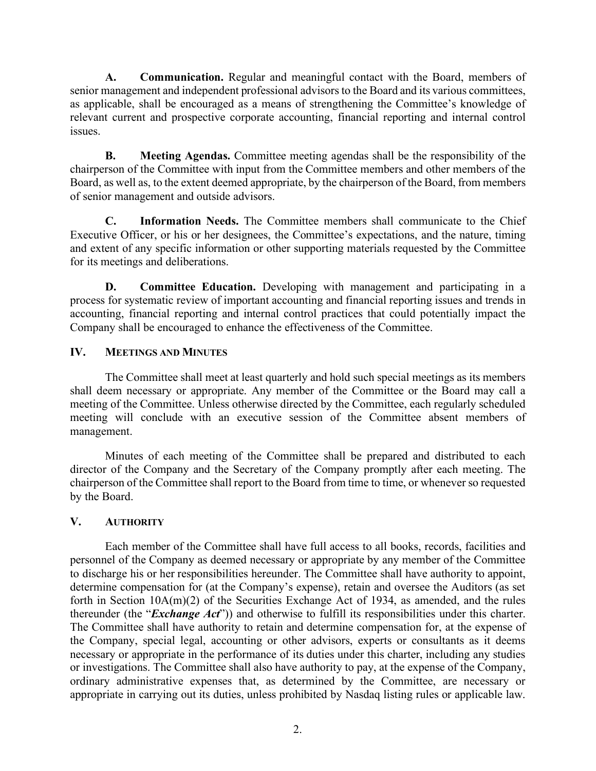**A. Communication.** Regular and meaningful contact with the Board, members of senior management and independent professional advisors to the Board and its various committees, as applicable, shall be encouraged as a means of strengthening the Committee's knowledge of relevant current and prospective corporate accounting, financial reporting and internal control issues.

**B. Meeting Agendas.** Committee meeting agendas shall be the responsibility of the chairperson of the Committee with input from the Committee members and other members of the Board, as well as, to the extent deemed appropriate, by the chairperson of the Board, from members of senior management and outside advisors.

**C. Information Needs.** The Committee members shall communicate to the Chief Executive Officer, or his or her designees, the Committee's expectations, and the nature, timing and extent of any specific information or other supporting materials requested by the Committee for its meetings and deliberations.

**D. Committee Education.** Developing with management and participating in a process for systematic review of important accounting and financial reporting issues and trends in accounting, financial reporting and internal control practices that could potentially impact the Company shall be encouraged to enhance the effectiveness of the Committee.

# **IV. MEETINGS AND MINUTES**

The Committee shall meet at least quarterly and hold such special meetings as its members shall deem necessary or appropriate. Any member of the Committee or the Board may call a meeting of the Committee. Unless otherwise directed by the Committee, each regularly scheduled meeting will conclude with an executive session of the Committee absent members of management.

Minutes of each meeting of the Committee shall be prepared and distributed to each director of the Company and the Secretary of the Company promptly after each meeting. The chairperson of the Committee shall report to the Board from time to time, or whenever so requested by the Board.

# **V. AUTHORITY**

Each member of the Committee shall have full access to all books, records, facilities and personnel of the Company as deemed necessary or appropriate by any member of the Committee to discharge his or her responsibilities hereunder. The Committee shall have authority to appoint, determine compensation for (at the Company's expense), retain and oversee the Auditors (as set forth in Section 10A(m)(2) of the Securities Exchange Act of 1934, as amended, and the rules thereunder (the "*Exchange Act*")) and otherwise to fulfill its responsibilities under this charter. The Committee shall have authority to retain and determine compensation for, at the expense of the Company, special legal, accounting or other advisors, experts or consultants as it deems necessary or appropriate in the performance of its duties under this charter, including any studies or investigations. The Committee shall also have authority to pay, at the expense of the Company, ordinary administrative expenses that, as determined by the Committee, are necessary or appropriate in carrying out its duties, unless prohibited by Nasdaq listing rules or applicable law.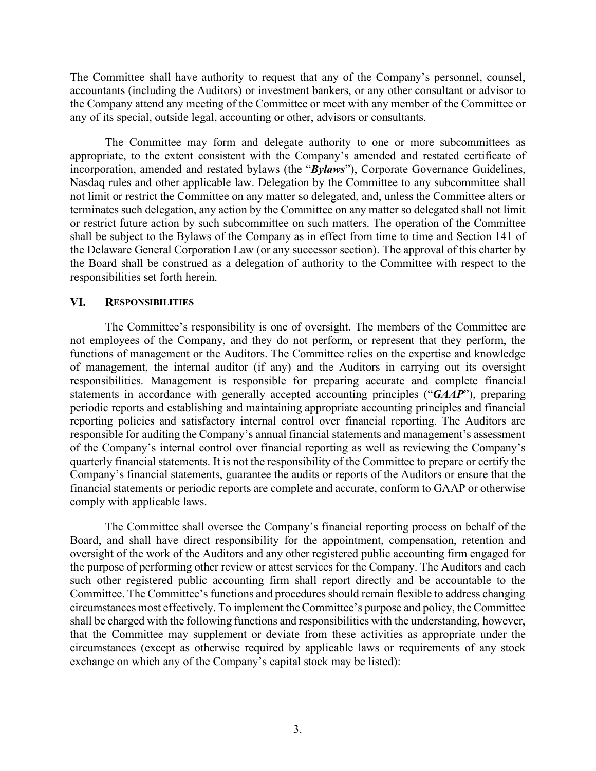The Committee shall have authority to request that any of the Company's personnel, counsel, accountants (including the Auditors) or investment bankers, or any other consultant or advisor to the Company attend any meeting of the Committee or meet with any member of the Committee or any of its special, outside legal, accounting or other, advisors or consultants.

The Committee may form and delegate authority to one or more subcommittees as appropriate, to the extent consistent with the Company's amended and restated certificate of incorporation, amended and restated bylaws (the "*Bylaws*"), Corporate Governance Guidelines, Nasdaq rules and other applicable law. Delegation by the Committee to any subcommittee shall not limit or restrict the Committee on any matter so delegated, and, unless the Committee alters or terminates such delegation, any action by the Committee on any matter so delegated shall not limit or restrict future action by such subcommittee on such matters. The operation of the Committee shall be subject to the Bylaws of the Company as in effect from time to time and Section 141 of the Delaware General Corporation Law (or any successor section). The approval of this charter by the Board shall be construed as a delegation of authority to the Committee with respect to the responsibilities set forth herein.

#### **VI. RESPONSIBILITIES**

The Committee's responsibility is one of oversight. The members of the Committee are not employees of the Company, and they do not perform, or represent that they perform, the functions of management or the Auditors. The Committee relies on the expertise and knowledge of management, the internal auditor (if any) and the Auditors in carrying out its oversight responsibilities. Management is responsible for preparing accurate and complete financial statements in accordance with generally accepted accounting principles ("*GAAP*"), preparing periodic reports and establishing and maintaining appropriate accounting principles and financial reporting policies and satisfactory internal control over financial reporting. The Auditors are responsible for auditing the Company's annual financial statements and management's assessment of the Company's internal control over financial reporting as well as reviewing the Company's quarterly financial statements. It is not the responsibility of the Committee to prepare or certify the Company's financial statements, guarantee the audits or reports of the Auditors or ensure that the financial statements or periodic reports are complete and accurate, conform to GAAP or otherwise comply with applicable laws.

The Committee shall oversee the Company's financial reporting process on behalf of the Board, and shall have direct responsibility for the appointment, compensation, retention and oversight of the work of the Auditors and any other registered public accounting firm engaged for the purpose of performing other review or attest services for the Company. The Auditors and each such other registered public accounting firm shall report directly and be accountable to the Committee. The Committee's functions and procedures should remain flexible to address changing circumstances most effectively. To implement the Committee's purpose and policy, the Committee shall be charged with the following functions and responsibilities with the understanding, however, that the Committee may supplement or deviate from these activities as appropriate under the circumstances (except as otherwise required by applicable laws or requirements of any stock exchange on which any of the Company's capital stock may be listed):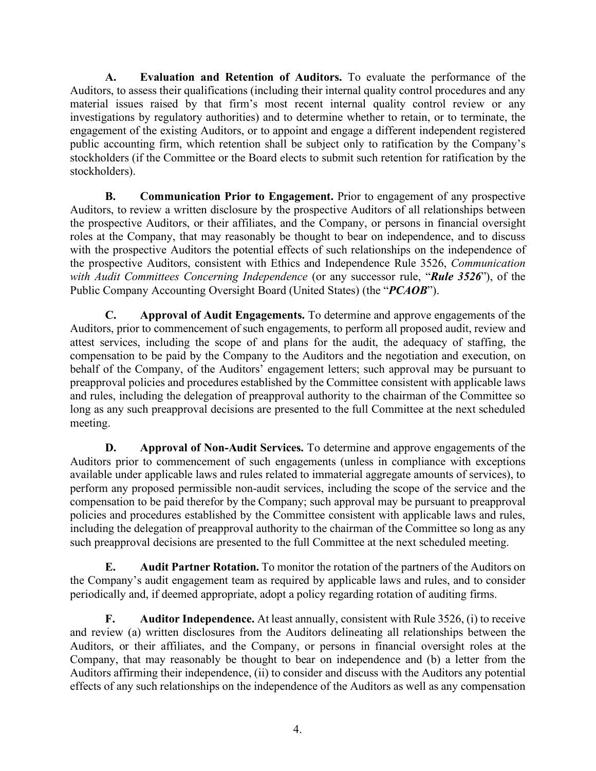**A. Evaluation and Retention of Auditors.** To evaluate the performance of the Auditors, to assess their qualifications (including their internal quality control procedures and any material issues raised by that firm's most recent internal quality control review or any investigations by regulatory authorities) and to determine whether to retain, or to terminate, the engagement of the existing Auditors, or to appoint and engage a different independent registered public accounting firm, which retention shall be subject only to ratification by the Company's stockholders (if the Committee or the Board elects to submit such retention for ratification by the stockholders).

**B. Communication Prior to Engagement.** Prior to engagement of any prospective Auditors, to review a written disclosure by the prospective Auditors of all relationships between the prospective Auditors, or their affiliates, and the Company, or persons in financial oversight roles at the Company, that may reasonably be thought to bear on independence, and to discuss with the prospective Auditors the potential effects of such relationships on the independence of the prospective Auditors, consistent with Ethics and Independence Rule 3526, *Communication with Audit Committees Concerning Independence* (or any successor rule, "*Rule 3526*"), of the Public Company Accounting Oversight Board (United States) (the "*PCAOB*").

**C. Approval of Audit Engagements.** To determine and approve engagements of the Auditors, prior to commencement of such engagements, to perform all proposed audit, review and attest services, including the scope of and plans for the audit, the adequacy of staffing, the compensation to be paid by the Company to the Auditors and the negotiation and execution, on behalf of the Company, of the Auditors' engagement letters; such approval may be pursuant to preapproval policies and procedures established by the Committee consistent with applicable laws and rules, including the delegation of preapproval authority to the chairman of the Committee so long as any such preapproval decisions are presented to the full Committee at the next scheduled meeting.

**D. Approval of Non-Audit Services.** To determine and approve engagements of the Auditors prior to commencement of such engagements (unless in compliance with exceptions available under applicable laws and rules related to immaterial aggregate amounts of services), to perform any proposed permissible non-audit services, including the scope of the service and the compensation to be paid therefor by the Company; such approval may be pursuant to preapproval policies and procedures established by the Committee consistent with applicable laws and rules, including the delegation of preapproval authority to the chairman of the Committee so long as any such preapproval decisions are presented to the full Committee at the next scheduled meeting.

**E. Audit Partner Rotation.** To monitor the rotation of the partners of the Auditors on the Company's audit engagement team as required by applicable laws and rules, and to consider periodically and, if deemed appropriate, adopt a policy regarding rotation of auditing firms.

**F. Auditor Independence.** At least annually, consistent with Rule 3526, (i) to receive and review (a) written disclosures from the Auditors delineating all relationships between the Auditors, or their affiliates, and the Company, or persons in financial oversight roles at the Company, that may reasonably be thought to bear on independence and (b) a letter from the Auditors affirming their independence, (ii) to consider and discuss with the Auditors any potential effects of any such relationships on the independence of the Auditors as well as any compensation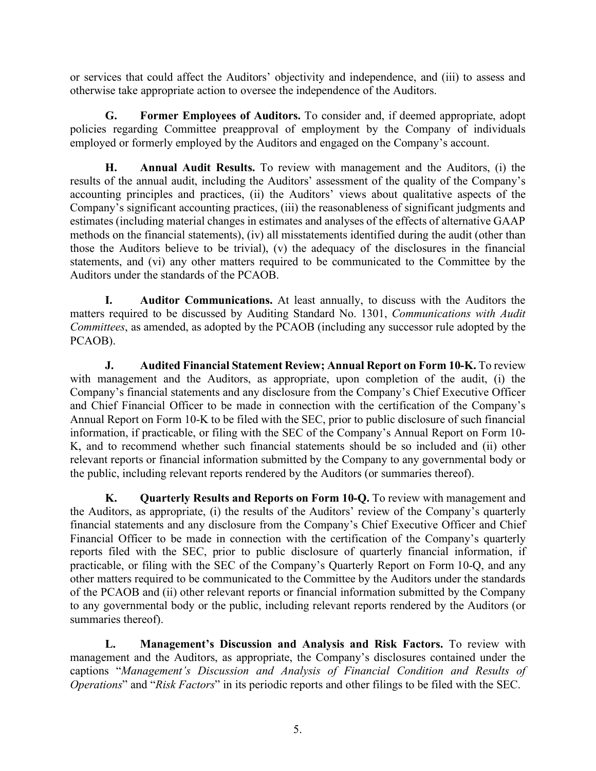or services that could affect the Auditors' objectivity and independence, and (iii) to assess and otherwise take appropriate action to oversee the independence of the Auditors.

**G. Former Employees of Auditors.** To consider and, if deemed appropriate, adopt policies regarding Committee preapproval of employment by the Company of individuals employed or formerly employed by the Auditors and engaged on the Company's account.

**H. Annual Audit Results.** To review with management and the Auditors, (i) the results of the annual audit, including the Auditors' assessment of the quality of the Company's accounting principles and practices, (ii) the Auditors' views about qualitative aspects of the Company's significant accounting practices, (iii) the reasonableness of significant judgments and estimates (including material changes in estimates and analyses of the effects of alternative GAAP methods on the financial statements), (iv) all misstatements identified during the audit (other than those the Auditors believe to be trivial), (v) the adequacy of the disclosures in the financial statements, and (vi) any other matters required to be communicated to the Committee by the Auditors under the standards of the PCAOB.

**I. Auditor Communications.** At least annually, to discuss with the Auditors the matters required to be discussed by Auditing Standard No. 1301, *Communications with Audit Committees*, as amended, as adopted by the PCAOB (including any successor rule adopted by the PCAOB).

**J. Audited Financial Statement Review; Annual Report on Form 10-K.** To review with management and the Auditors, as appropriate, upon completion of the audit, (i) the Company's financial statements and any disclosure from the Company's Chief Executive Officer and Chief Financial Officer to be made in connection with the certification of the Company's Annual Report on Form 10-K to be filed with the SEC, prior to public disclosure of such financial information, if practicable, or filing with the SEC of the Company's Annual Report on Form 10- K, and to recommend whether such financial statements should be so included and (ii) other relevant reports or financial information submitted by the Company to any governmental body or the public, including relevant reports rendered by the Auditors (or summaries thereof).

**K. Quarterly Results and Reports on Form 10-Q.** To review with management and the Auditors, as appropriate, (i) the results of the Auditors' review of the Company's quarterly financial statements and any disclosure from the Company's Chief Executive Officer and Chief Financial Officer to be made in connection with the certification of the Company's quarterly reports filed with the SEC, prior to public disclosure of quarterly financial information, if practicable, or filing with the SEC of the Company's Quarterly Report on Form 10-Q, and any other matters required to be communicated to the Committee by the Auditors under the standards of the PCAOB and (ii) other relevant reports or financial information submitted by the Company to any governmental body or the public, including relevant reports rendered by the Auditors (or summaries thereof).

**L. Management's Discussion and Analysis and Risk Factors.** To review with management and the Auditors, as appropriate, the Company's disclosures contained under the captions "*Management's Discussion and Analysis of Financial Condition and Results of Operations*" and "*Risk Factors*" in its periodic reports and other filings to be filed with the SEC.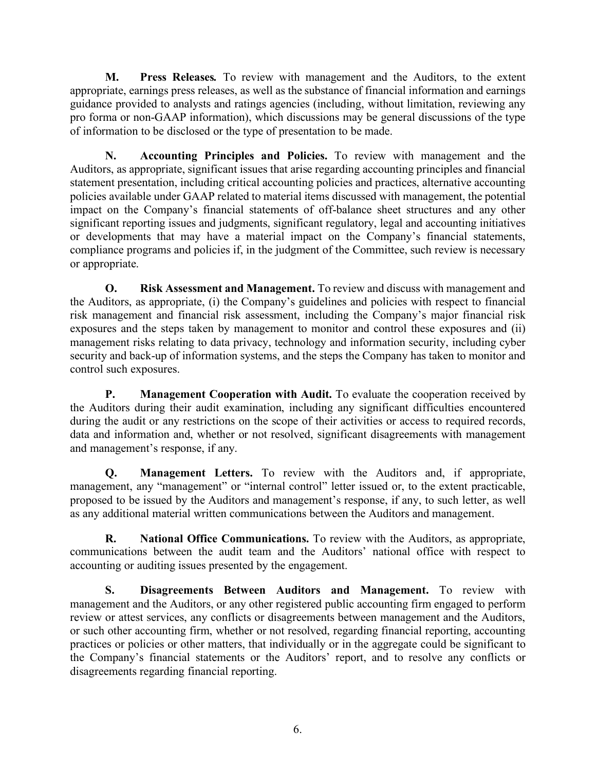**M. Press Releases***.* To review with management and the Auditors, to the extent appropriate, earnings press releases, as well as the substance of financial information and earnings guidance provided to analysts and ratings agencies (including, without limitation, reviewing any pro forma or non-GAAP information), which discussions may be general discussions of the type of information to be disclosed or the type of presentation to be made.

**N. Accounting Principles and Policies.** To review with management and the Auditors, as appropriate, significant issues that arise regarding accounting principles and financial statement presentation, including critical accounting policies and practices, alternative accounting policies available under GAAP related to material items discussed with management, the potential impact on the Company's financial statements of off-balance sheet structures and any other significant reporting issues and judgments, significant regulatory, legal and accounting initiatives or developments that may have a material impact on the Company's financial statements, compliance programs and policies if, in the judgment of the Committee, such review is necessary or appropriate.

**O. Risk Assessment and Management.** To review and discuss with management and the Auditors, as appropriate, (i) the Company's guidelines and policies with respect to financial risk management and financial risk assessment, including the Company's major financial risk exposures and the steps taken by management to monitor and control these exposures and (ii) management risks relating to data privacy, technology and information security, including cyber security and back-up of information systems, and the steps the Company has taken to monitor and control such exposures.

**P. Management Cooperation with Audit.** To evaluate the cooperation received by the Auditors during their audit examination, including any significant difficulties encountered during the audit or any restrictions on the scope of their activities or access to required records, data and information and, whether or not resolved, significant disagreements with management and management's response, if any.

**Q. Management Letters.** To review with the Auditors and, if appropriate, management, any "management" or "internal control" letter issued or, to the extent practicable, proposed to be issued by the Auditors and management's response, if any, to such letter, as well as any additional material written communications between the Auditors and management.

**R. National Office Communications.** To review with the Auditors, as appropriate, communications between the audit team and the Auditors' national office with respect to accounting or auditing issues presented by the engagement.

**S. Disagreements Between Auditors and Management.** To review with management and the Auditors, or any other registered public accounting firm engaged to perform review or attest services, any conflicts or disagreements between management and the Auditors, or such other accounting firm, whether or not resolved, regarding financial reporting, accounting practices or policies or other matters, that individually or in the aggregate could be significant to the Company's financial statements or the Auditors' report, and to resolve any conflicts or disagreements regarding financial reporting.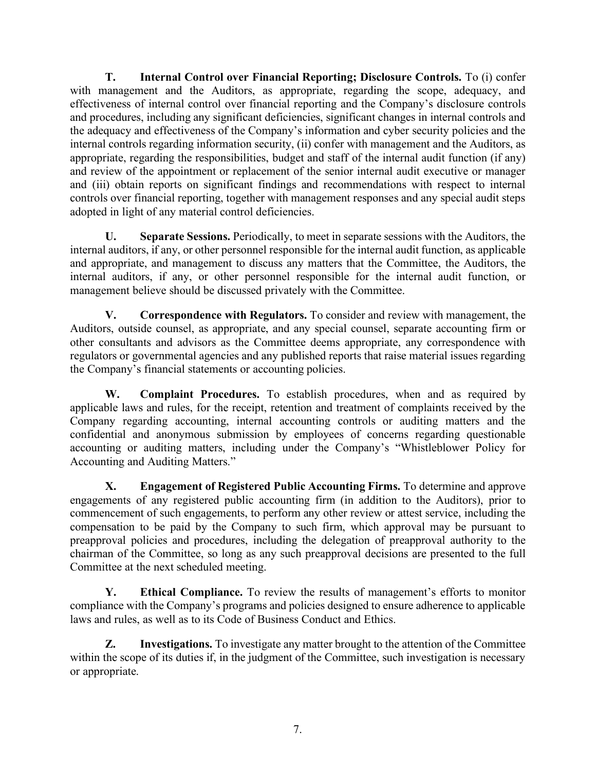**T. Internal Control over Financial Reporting; Disclosure Controls.** To (i) confer with management and the Auditors, as appropriate, regarding the scope, adequacy, and effectiveness of internal control over financial reporting and the Company's disclosure controls and procedures, including any significant deficiencies, significant changes in internal controls and the adequacy and effectiveness of the Company's information and cyber security policies and the internal controls regarding information security, (ii) confer with management and the Auditors, as appropriate, regarding the responsibilities, budget and staff of the internal audit function (if any) and review of the appointment or replacement of the senior internal audit executive or manager and (iii) obtain reports on significant findings and recommendations with respect to internal controls over financial reporting, together with management responses and any special audit steps adopted in light of any material control deficiencies.

**U. Separate Sessions.** Periodically, to meet in separate sessions with the Auditors, the internal auditors, if any, or other personnel responsible for the internal audit function, as applicable and appropriate, and management to discuss any matters that the Committee, the Auditors, the internal auditors, if any, or other personnel responsible for the internal audit function, or management believe should be discussed privately with the Committee.

**V. Correspondence with Regulators.** To consider and review with management, the Auditors, outside counsel, as appropriate, and any special counsel, separate accounting firm or other consultants and advisors as the Committee deems appropriate, any correspondence with regulators or governmental agencies and any published reports that raise material issues regarding the Company's financial statements or accounting policies.

**W. Complaint Procedures.** To establish procedures, when and as required by applicable laws and rules, for the receipt, retention and treatment of complaints received by the Company regarding accounting, internal accounting controls or auditing matters and the confidential and anonymous submission by employees of concerns regarding questionable accounting or auditing matters, including under the Company's "Whistleblower Policy for Accounting and Auditing Matters."

**X. Engagement of Registered Public Accounting Firms.** To determine and approve engagements of any registered public accounting firm (in addition to the Auditors), prior to commencement of such engagements, to perform any other review or attest service, including the compensation to be paid by the Company to such firm, which approval may be pursuant to preapproval policies and procedures, including the delegation of preapproval authority to the chairman of the Committee, so long as any such preapproval decisions are presented to the full Committee at the next scheduled meeting.

**Y. Ethical Compliance.** To review the results of management's efforts to monitor compliance with the Company's programs and policies designed to ensure adherence to applicable laws and rules, as well as to its Code of Business Conduct and Ethics.

**Z. Investigations.** To investigate any matter brought to the attention of the Committee within the scope of its duties if, in the judgment of the Committee, such investigation is necessary or appropriate.